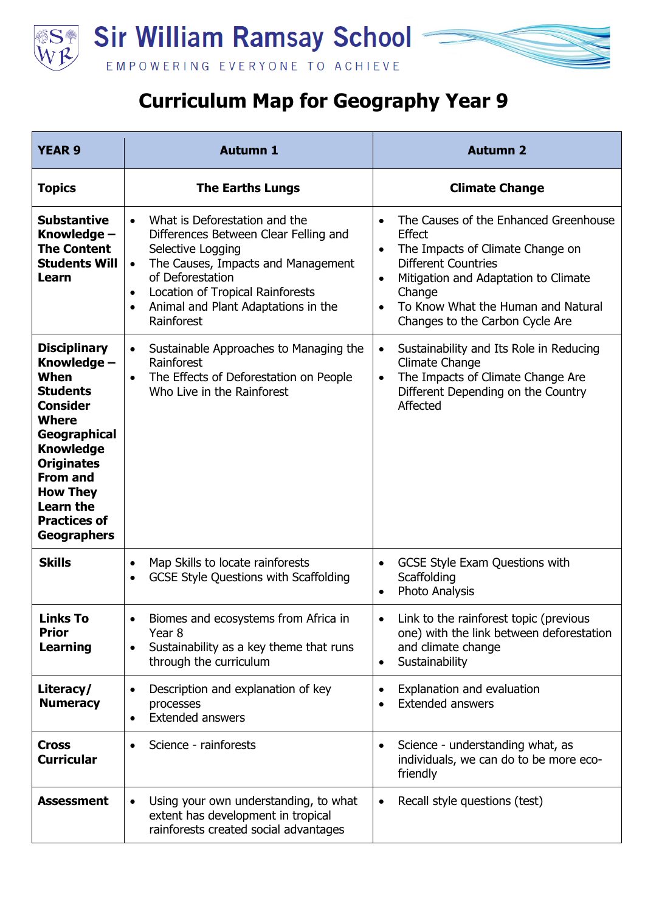

## **Curriculum Map for Geography Year 9**

| <b>YEAR 9</b>                                                                                                                                                                                                                                                           | <b>Autumn 1</b>                                                                                                                                                                                                                                                                                    | <b>Autumn 2</b>                                                                                                                                                                                                                                                                                         |
|-------------------------------------------------------------------------------------------------------------------------------------------------------------------------------------------------------------------------------------------------------------------------|----------------------------------------------------------------------------------------------------------------------------------------------------------------------------------------------------------------------------------------------------------------------------------------------------|---------------------------------------------------------------------------------------------------------------------------------------------------------------------------------------------------------------------------------------------------------------------------------------------------------|
| <b>Topics</b>                                                                                                                                                                                                                                                           | <b>The Earths Lungs</b>                                                                                                                                                                                                                                                                            | <b>Climate Change</b>                                                                                                                                                                                                                                                                                   |
| <b>Substantive</b><br>Knowledge -<br><b>The Content</b><br><b>Students Will</b><br>Learn                                                                                                                                                                                | What is Deforestation and the<br>$\bullet$<br>Differences Between Clear Felling and<br>Selective Logging<br>The Causes, Impacts and Management<br>$\bullet$<br>of Deforestation<br>Location of Tropical Rainforests<br>$\bullet$<br>Animal and Plant Adaptations in the<br>$\bullet$<br>Rainforest | The Causes of the Enhanced Greenhouse<br>$\bullet$<br><b>Effect</b><br>The Impacts of Climate Change on<br>$\bullet$<br><b>Different Countries</b><br>Mitigation and Adaptation to Climate<br>$\bullet$<br>Change<br>To Know What the Human and Natural<br>$\bullet$<br>Changes to the Carbon Cycle Are |
| <b>Disciplinary</b><br>Knowledge -<br>When<br><b>Students</b><br><b>Consider</b><br><b>Where</b><br><b>Geographical</b><br><b>Knowledge</b><br><b>Originates</b><br><b>From and</b><br><b>How They</b><br><b>Learn the</b><br><b>Practices of</b><br><b>Geographers</b> | Sustainable Approaches to Managing the<br>$\bullet$<br>Rainforest<br>The Effects of Deforestation on People<br>$\bullet$<br>Who Live in the Rainforest                                                                                                                                             | Sustainability and Its Role in Reducing<br>$\bullet$<br><b>Climate Change</b><br>The Impacts of Climate Change Are<br>$\bullet$<br>Different Depending on the Country<br>Affected                                                                                                                       |
| <b>Skills</b>                                                                                                                                                                                                                                                           | Map Skills to locate rainforests<br>$\bullet$<br><b>GCSE Style Questions with Scaffolding</b><br>$\bullet$                                                                                                                                                                                         | <b>GCSE Style Exam Questions with</b><br>$\bullet$<br>Scaffolding<br>Photo Analysis<br>$\bullet$                                                                                                                                                                                                        |
| <b>Links To</b><br><b>Prior</b><br><b>Learning</b>                                                                                                                                                                                                                      | Biomes and ecosystems from Africa in<br>Year <sub>8</sub><br>Sustainability as a key theme that runs<br>$\bullet$<br>through the curriculum                                                                                                                                                        | Link to the rainforest topic (previous<br>one) with the link between deforestation<br>and climate change<br>Sustainability<br>$\bullet$                                                                                                                                                                 |
| Literacy/<br><b>Numeracy</b>                                                                                                                                                                                                                                            | Description and explanation of key<br>$\bullet$<br>processes<br><b>Extended answers</b><br>$\bullet$                                                                                                                                                                                               | Explanation and evaluation<br>$\bullet$<br><b>Extended answers</b><br>$\bullet$                                                                                                                                                                                                                         |
| <b>Cross</b><br><b>Curricular</b>                                                                                                                                                                                                                                       | Science - rainforests                                                                                                                                                                                                                                                                              | Science - understanding what, as<br>$\bullet$<br>individuals, we can do to be more eco-<br>friendly                                                                                                                                                                                                     |
| <b>Assessment</b>                                                                                                                                                                                                                                                       | Using your own understanding, to what<br>$\bullet$<br>extent has development in tropical<br>rainforests created social advantages                                                                                                                                                                  | Recall style questions (test)<br>٠                                                                                                                                                                                                                                                                      |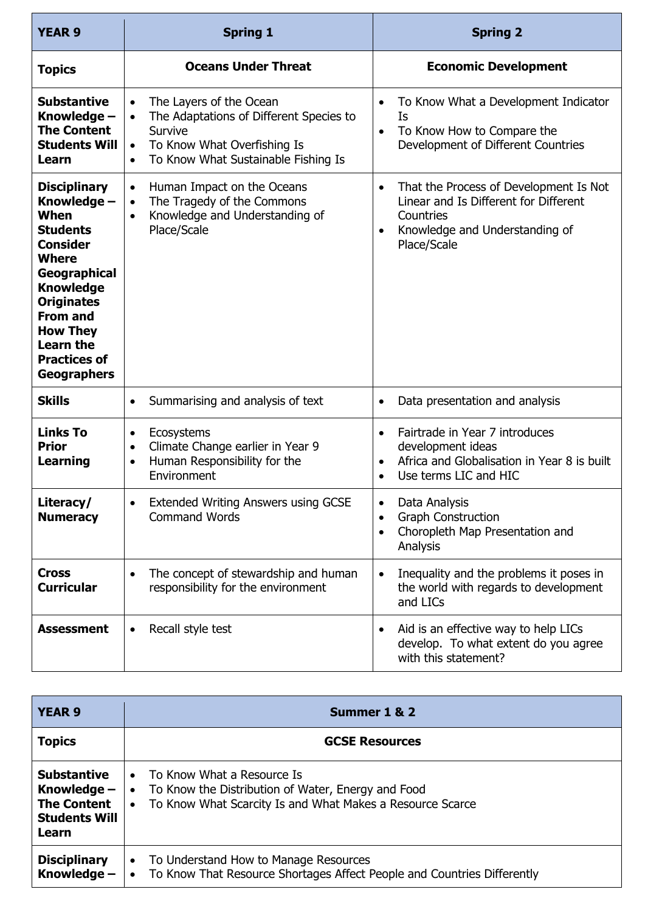| <b>YEAR 9</b>                                                                                                                                                                                                                                                    | <b>Spring 1</b>                                                                                                                                                                                         | <b>Spring 2</b>                                                                                                                                                         |
|------------------------------------------------------------------------------------------------------------------------------------------------------------------------------------------------------------------------------------------------------------------|---------------------------------------------------------------------------------------------------------------------------------------------------------------------------------------------------------|-------------------------------------------------------------------------------------------------------------------------------------------------------------------------|
| <b>Topics</b>                                                                                                                                                                                                                                                    | <b>Oceans Under Threat</b>                                                                                                                                                                              | <b>Economic Development</b>                                                                                                                                             |
| <b>Substantive</b><br>Knowledge -<br><b>The Content</b><br><b>Students Will</b><br>Learn                                                                                                                                                                         | The Layers of the Ocean<br>$\bullet$<br>The Adaptations of Different Species to<br>$\bullet$<br>Survive<br>To Know What Overfishing Is<br>$\bullet$<br>To Know What Sustainable Fishing Is<br>$\bullet$ | To Know What a Development Indicator<br>$\bullet$<br>Ιs<br>To Know How to Compare the<br>$\bullet$<br>Development of Different Countries                                |
| <b>Disciplinary</b><br>Knowledge -<br>When<br><b>Students</b><br><b>Consider</b><br><b>Where</b><br>Geographical<br><b>Knowledge</b><br><b>Originates</b><br><b>From and</b><br><b>How They</b><br><b>Learn the</b><br><b>Practices of</b><br><b>Geographers</b> | Human Impact on the Oceans<br>$\bullet$<br>The Tragedy of the Commons<br>$\bullet$<br>Knowledge and Understanding of<br>$\bullet$<br>Place/Scale                                                        | That the Process of Development Is Not<br>$\bullet$<br>Linear and Is Different for Different<br>Countries<br>Knowledge and Understanding of<br>$\bullet$<br>Place/Scale |
| <b>Skills</b>                                                                                                                                                                                                                                                    | Summarising and analysis of text<br>$\bullet$                                                                                                                                                           | Data presentation and analysis<br>$\bullet$                                                                                                                             |
| <b>Links To</b><br><b>Prior</b><br><b>Learning</b>                                                                                                                                                                                                               | Ecosystems<br>$\bullet$<br>Climate Change earlier in Year 9<br>$\bullet$<br>Human Responsibility for the<br>$\bullet$<br>Environment                                                                    | Fairtrade in Year 7 introduces<br>$\bullet$<br>development ideas<br>Africa and Globalisation in Year 8 is built<br>$\bullet$<br>Use terms LIC and HIC<br>$\bullet$      |
| Literacy/<br><b>Numeracy</b>                                                                                                                                                                                                                                     | Extended Writing Answers using GCSE<br><b>Command Words</b>                                                                                                                                             | Data Analysis<br><b>Graph Construction</b><br>Choropleth Map Presentation and<br>$\bullet$<br>Analysis                                                                  |
| <b>Cross</b><br><b>Curricular</b>                                                                                                                                                                                                                                | The concept of stewardship and human<br>$\bullet$<br>responsibility for the environment                                                                                                                 | Inequality and the problems it poses in<br>$\bullet$<br>the world with regards to development<br>and LICs                                                               |
| <b>Assessment</b>                                                                                                                                                                                                                                                | Recall style test<br>$\bullet$                                                                                                                                                                          | Aid is an effective way to help LICs<br>$\bullet$<br>develop. To what extent do you agree<br>with this statement?                                                       |

| <b>YEAR 9</b>                                                                              | Summer 1 & 2                                                                                                                                                                         |
|--------------------------------------------------------------------------------------------|--------------------------------------------------------------------------------------------------------------------------------------------------------------------------------------|
| <b>Topics</b>                                                                              | <b>GCSE Resources</b>                                                                                                                                                                |
| <b>Substantive</b><br>Knowledge $-$<br><b>The Content</b><br><b>Students Will</b><br>Learn | To Know What a Resource Is<br>$\bullet$<br>To Know the Distribution of Water, Energy and Food<br>$\bullet$<br>To Know What Scarcity Is and What Makes a Resource Scarce<br>$\bullet$ |
| <b>Disciplinary</b><br>Knowledge -                                                         | To Understand How to Manage Resources<br>$\bullet$<br>To Know That Resource Shortages Affect People and Countries Differently<br>$\bullet$                                           |